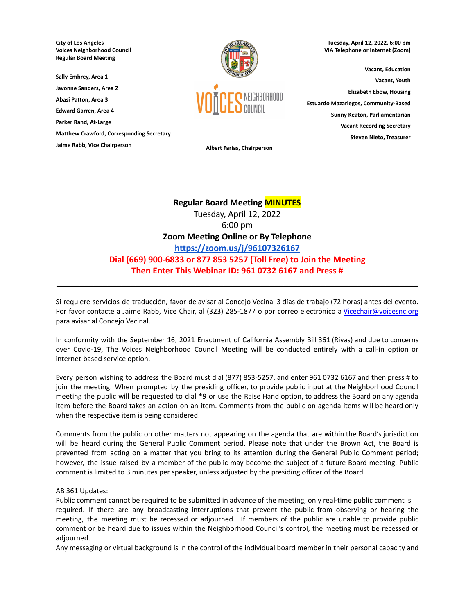**City of Los Angeles Voices Neighborhood Council Regular Board Meeting**

**Sally Embrey, Area 1**

**Javonne Sanders, Area 2**

**Abasi Patton, Area 3**

**Edward Garren, Area 4**

**Parker Rand, At-Large**

**Matthew Crawford, Corresponding Secretary**

**Jaime Rabb, Vice Chairperson Albert Farias, Chairperson**



**Tuesday, April 12, 2022, 6:00 pm VIA Telephone or Internet (Zoom)**

**Vacant, Education Vacant, Youth Elizabeth Ebow, Housing Estuardo Mazariegos, Community-Based Sunny Keaton, Parliamentarian Vacant Recording Secretary Steven Nieto, Treasurer**

# **Regular Board Meeting MINUTES**

Tuesday, April 12, 2022 6:00 pm **Zoom Meeting Online or By Telephone <https://zoom.us/j/96107326167> Dial (669) 900-6833 or 877 853 5257 (Toll Free) to Join the Meeting Then Enter This Webinar ID: 961 0732 6167 and Press #**

Si requiere servicios de traducción, favor de avisar al Concejo Vecinal 3 días de trabajo (72 horas) antes del evento. Por favor contacte a Jaime Rabb, Vice Chair, al (323) 285-1877 o por correo electrónico a [Vicechair@voicesnc.org](mailto:VNCCorrSec18@gmail.com) para avisar al Concejo Vecinal.

**\_\_\_\_\_\_\_\_\_\_\_\_\_\_\_\_\_\_\_\_\_\_\_\_\_\_\_\_\_\_\_\_\_\_\_\_\_\_\_\_\_\_\_\_\_\_\_\_\_\_\_\_\_\_\_\_\_\_\_\_\_\_\_\_\_\_\_\_\_\_\_\_\_\_\_\_\_\_**

In conformity with the September 16, 2021 Enactment of California Assembly Bill 361 (Rivas) and due to concerns over Covid-19, The Voices Neighborhood Council Meeting will be conducted entirely with a call-in option or internet-based service option.

Every person wishing to address the Board must dial (877) 853-5257, and enter 961 0732 6167 and then press # to join the meeting. When prompted by the presiding officer, to provide public input at the Neighborhood Council meeting the public will be requested to dial \*9 or use the Raise Hand option, to address the Board on any agenda item before the Board takes an action on an item. Comments from the public on agenda items will be heard only when the respective item is being considered.

Comments from the public on other matters not appearing on the agenda that are within the Board's jurisdiction will be heard during the General Public Comment period. Please note that under the Brown Act, the Board is prevented from acting on a matter that you bring to its attention during the General Public Comment period; however, the issue raised by a member of the public may become the subject of a future Board meeting. Public comment is limited to 3 minutes per speaker, unless adjusted by the presiding officer of the Board.

## AB 361 Updates:

Public comment cannot be required to be submitted in advance of the meeting, only real-time public comment is required. If there are any broadcasting interruptions that prevent the public from observing or hearing the meeting, the meeting must be recessed or adjourned. If members of the public are unable to provide public comment or be heard due to issues within the Neighborhood Council's control, the meeting must be recessed or adjourned.

Any messaging or virtual background is in the control of the individual board member in their personal capacity and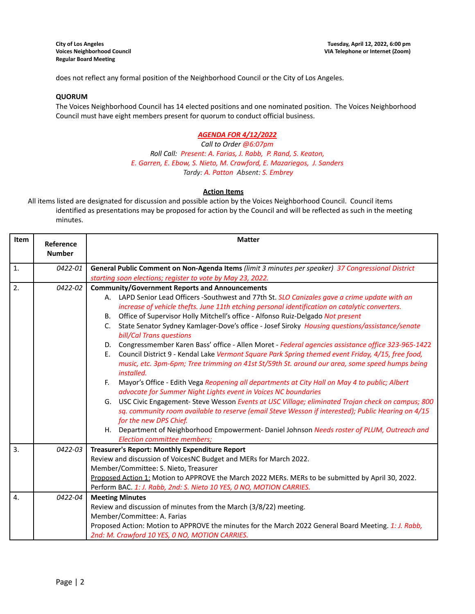does not reflect any formal position of the Neighborhood Council or the City of Los Angeles.

## **QUORUM**

The Voices Neighborhood Council has 14 elected positions and one nominated position. The Voices Neighborhood Council must have eight members present for quorum to conduct official business.

## *AGENDA FOR 4/12/2022*

*Call to Order @6:07pm Roll Call: Present: A. Farias, J. Rabb, P. Rand, S. Keaton, E. Garren, E. Ebow, S. Nieto, M. Crawford, E. Mazariegos, J. Sanders Tardy: A. Patton Absent: S. Embrey*

## **Action Items**

All items listed are designated for discussion and possible action by the Voices Neighborhood Council. Council items identified as presentations may be proposed for action by the Council and will be reflected as such in the meeting minutes.

| Item             | Reference<br><b>Number</b> | <b>Matter</b>                                                                                                                                                                                                                                                                                                                                                                                                                                                                                                                                                                                                                                                                                                                                                                                                                                                                                                                                                                                                                                                                                                                                                                                                                                                                                                                                                                   |  |  |  |
|------------------|----------------------------|---------------------------------------------------------------------------------------------------------------------------------------------------------------------------------------------------------------------------------------------------------------------------------------------------------------------------------------------------------------------------------------------------------------------------------------------------------------------------------------------------------------------------------------------------------------------------------------------------------------------------------------------------------------------------------------------------------------------------------------------------------------------------------------------------------------------------------------------------------------------------------------------------------------------------------------------------------------------------------------------------------------------------------------------------------------------------------------------------------------------------------------------------------------------------------------------------------------------------------------------------------------------------------------------------------------------------------------------------------------------------------|--|--|--|
| $\mathbf{1}$ .   | 0422-01                    | General Public Comment on Non-Agenda Items (limit 3 minutes per speaker) 37 Congressional District<br>starting soon elections; register to vote by May 23, 2022.                                                                                                                                                                                                                                                                                                                                                                                                                                                                                                                                                                                                                                                                                                                                                                                                                                                                                                                                                                                                                                                                                                                                                                                                                |  |  |  |
| 2.               | 0422-02                    | <b>Community/Government Reports and Announcements</b><br>A. LAPD Senior Lead Officers -Southwest and 77th St. SLO Canizales gave a crime update with an<br>increase of vehicle thefts. June 11th etching personal identification on catalytic converters.<br>Office of Supervisor Holly Mitchell's office - Alfonso Ruiz-Delgado Not present<br>B.<br>State Senator Sydney Kamlager-Dove's office - Josef Siroky Housing questions/assistance/senate<br>C.<br>bill/Cal Trans questions<br>D. Congressmember Karen Bass' office - Allen Moret - Federal agencies assistance office 323-965-1422<br>Council District 9 - Kendal Lake Vermont Square Park Spring themed event Friday, 4/15, free food,<br>E.<br>music, etc. 3pm-6pm; Tree trimming on 41st St/59th St. around our area, some speed humps being<br>installed.<br>Mayor's Office - Edith Vega Reopening all departments at City Hall on May 4 to public; Albert<br>F.<br>advocate for Summer Night Lights event in Voices NC boundaries<br>G. USC Civic Engagement- Steve Wesson Events at USC Village; eliminated Trojan check on campus; 800<br>sq. community room available to reserve (email Steve Wesson if interested); Public Hearing on 4/15<br>for the new DPS Chief.<br>H. Department of Neighborhood Empowerment- Daniel Johnson Needs roster of PLUM, Outreach and<br><b>Election committee members;</b> |  |  |  |
| 3.               | 0422-03                    | Treasurer's Report: Monthly Expenditure Report<br>Review and discussion of VoicesNC Budget and MERs for March 2022.<br>Member/Committee: S. Nieto, Treasurer<br>Proposed Action 1: Motion to APPROVE the March 2022 MERs. MERs to be submitted by April 30, 2022.<br>Perform BAC. 1: J. Rabb, 2nd: S. Nieto 10 YES, 0 NO, MOTION CARRIES.                                                                                                                                                                                                                                                                                                                                                                                                                                                                                                                                                                                                                                                                                                                                                                                                                                                                                                                                                                                                                                       |  |  |  |
| $\overline{4}$ . | 0422-04                    | <b>Meeting Minutes</b><br>Review and discussion of minutes from the March (3/8/22) meeting.<br>Member/Committee: A. Farias<br>Proposed Action: Motion to APPROVE the minutes for the March 2022 General Board Meeting. 1: J. Rabb,<br>2nd: M. Crawford 10 YES, 0 NO, MOTION CARRIES.                                                                                                                                                                                                                                                                                                                                                                                                                                                                                                                                                                                                                                                                                                                                                                                                                                                                                                                                                                                                                                                                                            |  |  |  |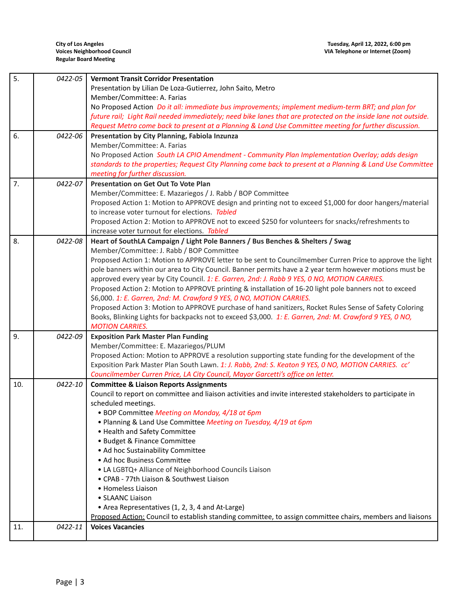| 5.  | 0422-05 | <b>Vermont Transit Corridor Presentation</b>                                                                                                                                                               |  |  |
|-----|---------|------------------------------------------------------------------------------------------------------------------------------------------------------------------------------------------------------------|--|--|
|     |         | Presentation by Lilian De Loza-Gutierrez, John Saito, Metro                                                                                                                                                |  |  |
|     |         | Member/Committee: A. Farias                                                                                                                                                                                |  |  |
|     |         | No Proposed Action Do it all: immediate bus improvements; implement medium-term BRT; and plan for                                                                                                          |  |  |
|     |         | future rail; Light Rail needed immediately; need bike lanes that are protected on the inside lane not outside.                                                                                             |  |  |
|     |         | Request Metro come back to present at a Planning & Land Use Committee meeting for further discussion.                                                                                                      |  |  |
| 6.  | 0422-06 | Presentation by City Planning, Fabiola Inzunza                                                                                                                                                             |  |  |
|     |         | Member/Committee: A. Farias                                                                                                                                                                                |  |  |
|     |         | No Proposed Action South LA CPIO Amendment - Community Plan Implementation Overlay; adds design                                                                                                            |  |  |
|     |         | standards to the properties; Request City Planning come back to present at a Planning & Land Use Committee                                                                                                 |  |  |
|     |         | meeting for further discussion.                                                                                                                                                                            |  |  |
| 7.  | 0422-07 | <b>Presentation on Get Out To Vote Plan</b>                                                                                                                                                                |  |  |
|     |         | Member/Committee: E. Mazariegos / J. Rabb / BOP Committee                                                                                                                                                  |  |  |
|     |         | Proposed Action 1: Motion to APPROVE design and printing not to exceed \$1,000 for door hangers/material                                                                                                   |  |  |
|     |         | to increase voter turnout for elections. Tabled                                                                                                                                                            |  |  |
|     |         | Proposed Action 2: Motion to APPROVE not to exceed \$250 for volunteers for snacks/refreshments to                                                                                                         |  |  |
|     |         | increase voter turnout for elections. Tabled                                                                                                                                                               |  |  |
| 8.  | 0422-08 | Heart of SouthLA Campaign / Light Pole Banners / Bus Benches & Shelters / Swag                                                                                                                             |  |  |
|     |         | Member/Committee: J. Rabb / BOP Committee                                                                                                                                                                  |  |  |
|     |         | Proposed Action 1: Motion to APPROVE letter to be sent to Councilmember Curren Price to approve the light                                                                                                  |  |  |
|     |         | pole banners within our area to City Council. Banner permits have a 2 year term however motions must be                                                                                                    |  |  |
|     |         | approved every year by City Council. 1: E. Garren, 2nd: J. Rabb 9 YES, 0 NO, MOTION CARRIES.                                                                                                               |  |  |
|     |         | Proposed Action 2: Motion to APPROVE printing & installation of 16-20 light pole banners not to exceed                                                                                                     |  |  |
|     |         | \$6,000. 1: E. Garren, 2nd: M. Crawford 9 YES, 0 NO, MOTION CARRIES.                                                                                                                                       |  |  |
|     |         | Proposed Action 3: Motion to APPROVE purchase of hand sanitizers, Rocket Rules Sense of Safety Coloring                                                                                                    |  |  |
|     |         | Books, Blinking Lights for backpacks not to exceed \$3,000. 1: E. Garren, 2nd: M. Crawford 9 YES, 0 NO,                                                                                                    |  |  |
|     |         | <b>MOTION CARRIES.</b>                                                                                                                                                                                     |  |  |
| 9.  | 0422-09 | <b>Exposition Park Master Plan Funding</b>                                                                                                                                                                 |  |  |
|     |         | Member/Committee: E. Mazariegos/PLUM                                                                                                                                                                       |  |  |
|     |         | Proposed Action: Motion to APPROVE a resolution supporting state funding for the development of the<br>Exposition Park Master Plan South Lawn. 1: J. Rabb, 2nd: S. Keaton 9 YES, 0 NO, MOTION CARRIES. cc' |  |  |
|     |         | Councilmember Curren Price, LA City Council, Mayor Garcetti's office on letter.                                                                                                                            |  |  |
| 10. | 0422-10 | <b>Committee &amp; Liaison Reports Assignments</b>                                                                                                                                                         |  |  |
|     |         | Council to report on committee and liaison activities and invite interested stakeholders to participate in                                                                                                 |  |  |
|     |         | scheduled meetings.                                                                                                                                                                                        |  |  |
|     |         | • BOP Committee Meeting on Monday, 4/18 at 6pm                                                                                                                                                             |  |  |
|     |         | . Planning & Land Use Committee Meeting on Tuesday, 4/19 at 6pm                                                                                                                                            |  |  |
|     |         | • Health and Safety Committee                                                                                                                                                                              |  |  |
|     |         | • Budget & Finance Committee                                                                                                                                                                               |  |  |
|     |         | • Ad hoc Sustainability Committee                                                                                                                                                                          |  |  |
|     |         | • Ad hoc Business Committee                                                                                                                                                                                |  |  |
|     |         | • LA LGBTQ+ Alliance of Neighborhood Councils Liaison                                                                                                                                                      |  |  |
|     |         | • CPAB - 77th Liaison & Southwest Liaison                                                                                                                                                                  |  |  |
|     |         | • Homeless Liaison                                                                                                                                                                                         |  |  |
|     |         | • SLAANC Liaison                                                                                                                                                                                           |  |  |
|     |         | • Area Representatives (1, 2, 3, 4 and At-Large)                                                                                                                                                           |  |  |
|     |         | Proposed Action: Council to establish standing committee, to assign committee chairs, members and liaisons                                                                                                 |  |  |
| 11. | 0422-11 | <b>Voices Vacancies</b>                                                                                                                                                                                    |  |  |
|     |         |                                                                                                                                                                                                            |  |  |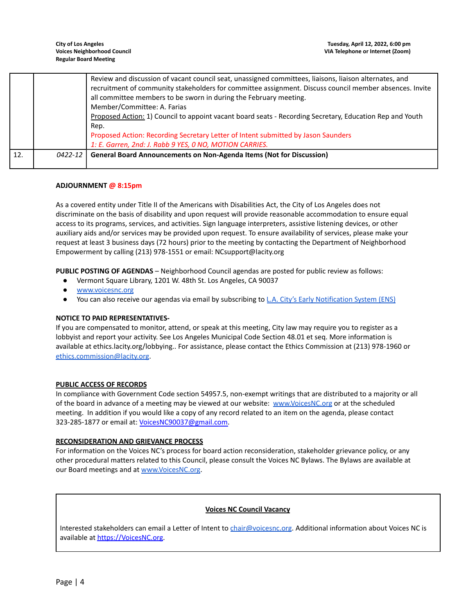|     |         | Review and discussion of vacant council seat, unassigned committees, liaisons, liaison alternates, and   |
|-----|---------|----------------------------------------------------------------------------------------------------------|
|     |         | recruitment of community stakeholders for committee assignment. Discuss council member absences. Invite  |
|     |         | all committee members to be sworn in during the February meeting.                                        |
|     |         | Member/Committee: A. Farias                                                                              |
|     |         | Proposed Action: 1) Council to appoint vacant board seats - Recording Secretary, Education Rep and Youth |
|     |         | Rep.                                                                                                     |
|     |         | Proposed Action: Recording Secretary Letter of Intent submitted by Jason Saunders                        |
|     |         | 1: E. Garren, 2nd: J. Rabb 9 YES, 0 NO, MOTION CARRIES.                                                  |
| 12. | 0422-12 | <b>General Board Announcements on Non-Agenda Items (Not for Discussion)</b>                              |

## **ADJOURNMENT @ 8:15pm**

As a covered entity under Title II of the Americans with Disabilities Act, the City of Los Angeles does not discriminate on the basis of disability and upon request will provide reasonable accommodation to ensure equal access to its programs, services, and activities. Sign language interpreters, assistive listening devices, or other auxiliary aids and/or services may be provided upon request. To ensure availability of services, please make your request at least 3 business days (72 hours) prior to the meeting by contacting the Department of Neighborhood Empowerment by calling (213) 978-1551 or email: NCsupport@lacity.org

**PUBLIC POSTING OF AGENDAS** – Neighborhood Council agendas are posted for public review as follows:

- Vermont Square Library, 1201 W. 48th St. Los Angeles, CA 90037
- [www.voicesnc.org](http://www.voicesnc.org)
- You can also receive our agendas via email by subscribing to L.A. City's Early [Notification](https://www.lacity.org/government/subscribe-agendasnotifications/neighborhood-councils) System (ENS)

## **NOTICE TO PAID REPRESENTATIVES-**

If you are compensated to monitor, attend, or speak at this meeting, City law may require you to register as a lobbyist and report your activity. See Los Angeles Municipal Code Section 48.01 et seq. More information is available at ethics.lacity.org/lobbying.. For assistance, please contact the Ethics Commission at (213) 978-1960 or [ethics.commission@lacity.org](mailto:ethics.commission@lacity.org).

## **PUBLIC ACCESS OF RECORDS**

In compliance with Government Code section 54957.5, non-exempt writings that are distributed to a majority or all of the board in advance of a meeting may be viewed at our website: [www.VoicesNC.org](http://www.voicesnc.org) or at the scheduled meeting. In addition if you would like a copy of any record related to an item on the agenda, please contact 323-285-1877 or email at: [VoicesNC90037@gmail.com.](mailto:VoicesNC90037@gmail.com)

## **RECONSIDERATION AND GRIEVANCE PROCESS**

For information on the Voices NC's process for board action reconsideration, stakeholder grievance policy, or any other procedural matters related to this Council, please consult the Voices NC Bylaws. The Bylaws are available at our Board meetings and at [www.VoicesNC.org](http://www.voicesnc.org).

## **Voices NC Council Vacancy**

Interested stakeholders can email a Letter of Intent to [chair@voicesnc.org](mailto:chair@voicesnc.org). Additional information about Voices NC is available at [https://VoicesNC.org](https://protect-us.mimecast.com/s/E5C9CqxMrGcYVDosZ0ERi).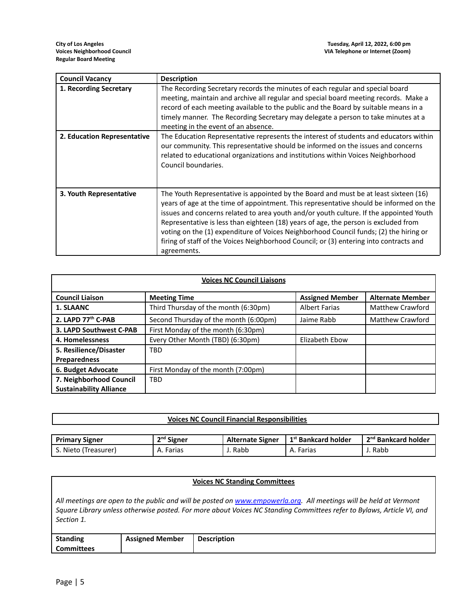| <b>Council Vacancy</b>      | <b>Description</b>                                                                                                                                                                                                                                                                                                                                                                                                                                                                                                                                                |
|-----------------------------|-------------------------------------------------------------------------------------------------------------------------------------------------------------------------------------------------------------------------------------------------------------------------------------------------------------------------------------------------------------------------------------------------------------------------------------------------------------------------------------------------------------------------------------------------------------------|
| 1. Recording Secretary      | The Recording Secretary records the minutes of each regular and special board<br>meeting, maintain and archive all regular and special board meeting records. Make a<br>record of each meeting available to the public and the Board by suitable means in a<br>timely manner. The Recording Secretary may delegate a person to take minutes at a<br>meeting in the event of an absence.                                                                                                                                                                           |
| 2. Education Representative | The Education Representative represents the interest of students and educators within<br>our community. This representative should be informed on the issues and concerns<br>related to educational organizations and institutions within Voices Neighborhood<br>Council boundaries.                                                                                                                                                                                                                                                                              |
| 3. Youth Representative     | The Youth Representative is appointed by the Board and must be at least sixteen (16)<br>years of age at the time of appointment. This representative should be informed on the<br>issues and concerns related to area youth and/or youth culture. If the appointed Youth<br>Representative is less than eighteen (18) years of age, the person is excluded from<br>voting on the (1) expenditure of Voices Neighborhood Council funds; (2) the hiring or<br>firing of staff of the Voices Neighborhood Council; or (3) entering into contracts and<br>agreements. |

| <b>Voices NC Council Liaisons</b> |                                       |                        |                         |
|-----------------------------------|---------------------------------------|------------------------|-------------------------|
| <b>Council Liaison</b>            | <b>Meeting Time</b>                   | <b>Assigned Member</b> | <b>Alternate Member</b> |
| 1. SLAANC                         | Third Thursday of the month (6:30pm)  | <b>Albert Farias</b>   | <b>Matthew Crawford</b> |
| 2. LAPD 77th C-PAB                | Second Thursday of the month (6:00pm) | Jaime Rabb             | <b>Matthew Crawford</b> |
| 3. LAPD Southwest C-PAB           | First Monday of the month (6:30pm)    |                        |                         |
| 4. Homelessness                   | Every Other Month (TBD) (6:30pm)      | Elizabeth Ebow         |                         |
| 5. Resilience/Disaster            | <b>TBD</b>                            |                        |                         |
| <b>Preparedness</b>               |                                       |                        |                         |
| 6. Budget Advocate                | First Monday of the month (7:00pm)    |                        |                         |
| 7. Neighborhood Council           | <b>TBD</b>                            |                        |                         |
| <b>Sustainability Alliance</b>    |                                       |                        |                         |

| <b>Voices NC Council Financial Responsibilities</b> |              |                         |                                 |                                 |
|-----------------------------------------------------|--------------|-------------------------|---------------------------------|---------------------------------|
|                                                     |              |                         |                                 |                                 |
| <b>Primary Signer</b>                               | $2nd$ Signer | <b>Alternate Signer</b> | 1 <sup>st</sup> Bankcard holder | 2 <sup>nd</sup> Bankcard holder |
| S. Nieto (Treasurer)                                | A. Farias    | J. Rabb                 | A. Farias                       | J. Rabb                         |

| <b>Voices NC Standing Committees</b>                                                                                                                                                                                                                     |                        |                    |  |
|----------------------------------------------------------------------------------------------------------------------------------------------------------------------------------------------------------------------------------------------------------|------------------------|--------------------|--|
| All meetings are open to the public and will be posted on www.empowerla.org. All meetings will be held at Vermont<br>Square Library unless otherwise posted. For more about Voices NC Standing Committees refer to Bylaws, Article VI, and<br>Section 1. |                        |                    |  |
| <b>Standing</b><br><b>Committees</b>                                                                                                                                                                                                                     | <b>Assigned Member</b> | <b>Description</b> |  |
|                                                                                                                                                                                                                                                          |                        |                    |  |

E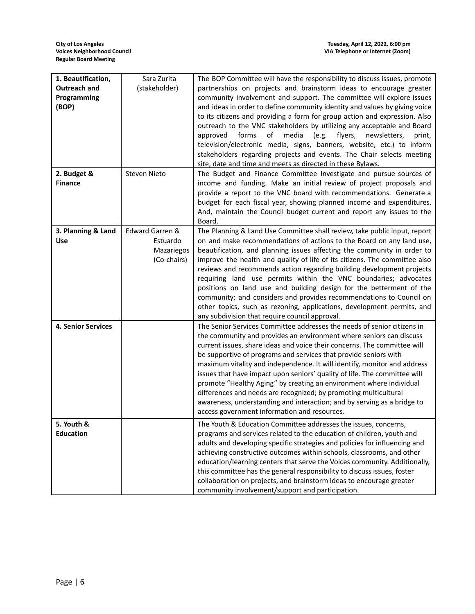| 1. Beautification,        | Sara Zurita     | The BOP Committee will have the responsibility to discuss issues, promote                                               |
|---------------------------|-----------------|-------------------------------------------------------------------------------------------------------------------------|
| Outreach and              | (stakeholder)   | partnerships on projects and brainstorm ideas to encourage greater                                                      |
| Programming               |                 | community involvement and support. The committee will explore issues                                                    |
| (BOP)                     |                 | and ideas in order to define community identity and values by giving voice                                              |
|                           |                 | to its citizens and providing a form for group action and expression. Also                                              |
|                           |                 | outreach to the VNC stakeholders by utilizing any acceptable and Board                                                  |
|                           |                 | forms<br>of<br>media<br>(e.g.<br>flyers,<br>approved<br>newsletters,<br>print,                                          |
|                           |                 | television/electronic media, signs, banners, website, etc.) to inform                                                   |
|                           |                 | stakeholders regarding projects and events. The Chair selects meeting                                                   |
|                           |                 | site, date and time and meets as directed in these Bylaws.                                                              |
| 2. Budget &               | Steven Nieto    | The Budget and Finance Committee Investigate and pursue sources of                                                      |
| <b>Finance</b>            |                 | income and funding. Make an initial review of project proposals and                                                     |
|                           |                 | provide a report to the VNC board with recommendations. Generate a                                                      |
|                           |                 | budget for each fiscal year, showing planned income and expenditures.                                                   |
|                           |                 | And, maintain the Council budget current and report any issues to the                                                   |
| 3. Planning & Land        | Edward Garren & | Board.<br>The Planning & Land Use Committee shall review, take public input, report                                     |
| <b>Use</b>                | Estuardo        | on and make recommendations of actions to the Board on any land use,                                                    |
|                           | Mazariegos      | beautification, and planning issues affecting the community in order to                                                 |
|                           | (Co-chairs)     | improve the health and quality of life of its citizens. The committee also                                              |
|                           |                 | reviews and recommends action regarding building development projects                                                   |
|                           |                 | requiring land use permits within the VNC boundaries; advocates                                                         |
|                           |                 | positions on land use and building design for the betterment of the                                                     |
|                           |                 | community; and considers and provides recommendations to Council on                                                     |
|                           |                 | other topics, such as rezoning, applications, development permits, and                                                  |
|                           |                 | any subdivision that require council approval.                                                                          |
| <b>4. Senior Services</b> |                 | The Senior Services Committee addresses the needs of senior citizens in                                                 |
|                           |                 | the community and provides an environment where seniors can discuss                                                     |
|                           |                 | current issues, share ideas and voice their concerns. The committee will                                                |
|                           |                 | be supportive of programs and services that provide seniors with                                                        |
|                           |                 | maximum vitality and independence. It will identify, monitor and address                                                |
|                           |                 | issues that have impact upon seniors' quality of life. The committee will                                               |
|                           |                 | promote "Healthy Aging" by creating an environment where individual                                                     |
|                           |                 | differences and needs are recognized; by promoting multicultural                                                        |
|                           |                 | awareness, understanding and interaction; and by serving as a bridge to<br>access government information and resources. |
| 5. Youth &                |                 | The Youth & Education Committee addresses the issues, concerns,                                                         |
| <b>Education</b>          |                 | programs and services related to the education of children, youth and                                                   |
|                           |                 | adults and developing specific strategies and policies for influencing and                                              |
|                           |                 | achieving constructive outcomes within schools, classrooms, and other                                                   |
|                           |                 | education/learning centers that serve the Voices community. Additionally,                                               |
|                           |                 | this committee has the general responsibility to discuss issues, foster                                                 |
|                           |                 | collaboration on projects, and brainstorm ideas to encourage greater                                                    |
|                           |                 | community involvement/support and participation.                                                                        |